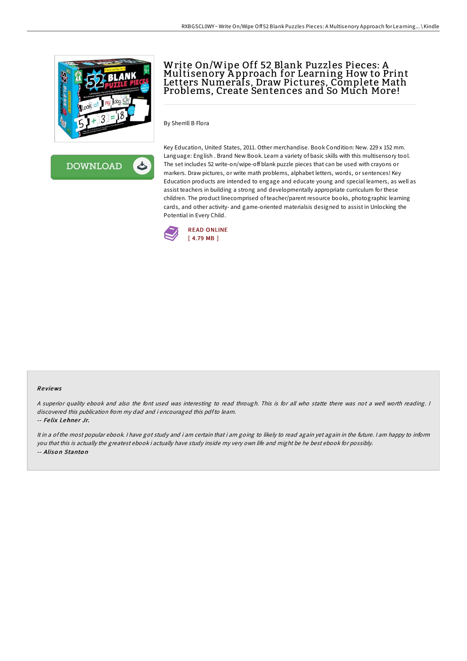

**DOWNLOAD** 

ٹ

## Write On/Wipe Off 52 Blank Puzzles Pieces: A Multisenory A pproach for Learning How to Print Letters Numerals, Draw Pictures, Complete Math Problems, Create Sentences and So Much More!

By Sherrill B Flora

Key Education, United States, 2011. Other merchandise. Book Condition: New. 229 x 152 mm. Language: English . Brand New Book. Learn a variety of basic skills with this multisensory tool. The set includes 52 write-on/wipe-off blank puzzle pieces that can be used with crayons or markers. Draw pictures, or write math problems, alphabet letters, words, or sentences! Key Education products are intended to engage and educate young and special learners, as well as assist teachers in building a strong and developmentally appropriate curriculum for these children. The product linecomprised of teacher/parent resource books, photographic learning cards, and other activity- and game-oriented materialsis designed to assist in Unlocking the Potential in Every Child.



## Re views

<sup>A</sup> superior quality ebook and also the font used was interesting to read through. This is for all who statte there was not <sup>a</sup> well worth reading. <sup>I</sup> discovered this publication from my dad and i encouraged this pdfto learn.

-- Felix Lehner Jr.

It in <sup>a</sup> of the most popular ebook. <sup>I</sup> have got study and i am certain that i am going to likely to read again yet again in the future. <sup>I</sup> am happy to inform you that this is actually the greatest ebook i actually have study inside my very own life and might be he best ebook for possibly. -- Alison Stanton